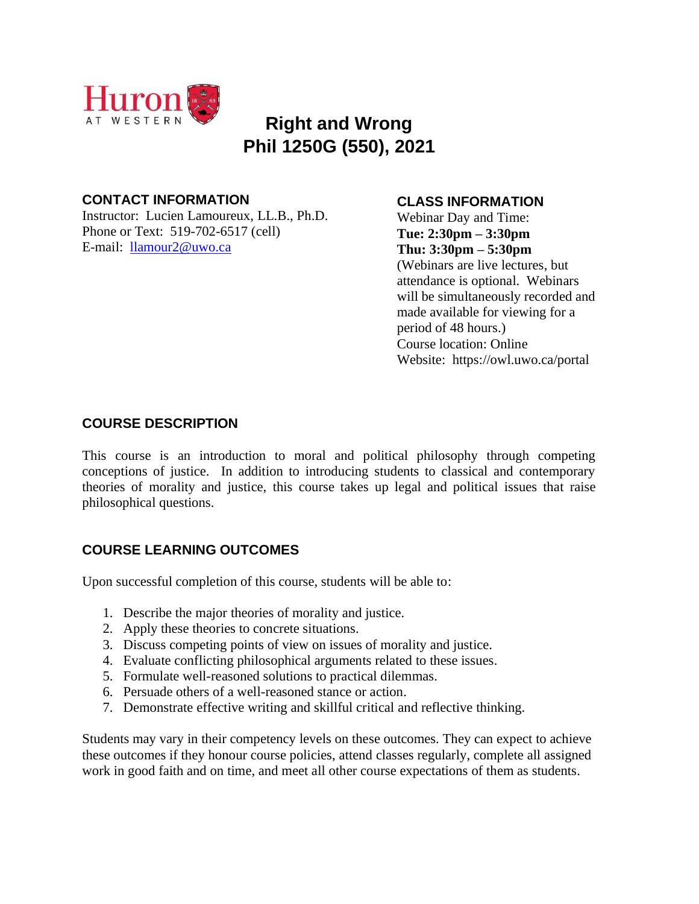

# **Right and Wrong Phil 1250G (550), 2021**

# **CONTACT INFORMATION**

Instructor: Lucien Lamoureux, LL.B., Ph.D. Phone or Text: 519-702-6517 (cell) E-mail: [llamour2@uwo.ca](mailto:llamour2@uwo.ca)

# **CLASS INFORMATION**

Webinar Day and Time: **Tue: 2:30pm – 3:30pm Thu: 3:30pm – 5:30pm** (Webinars are live lectures, but attendance is optional. Webinars will be simultaneously recorded and made available for viewing for a period of 48 hours.) Course location: Online Website: https://owl.uwo.ca/portal

# **COURSE DESCRIPTION**

This course is an introduction to moral and political philosophy through competing conceptions of justice. In addition to introducing students to classical and contemporary theories of morality and justice, this course takes up legal and political issues that raise philosophical questions.

# **COURSE LEARNING OUTCOMES**

Upon successful completion of this course, students will be able to:

- 1. Describe the major theories of morality and justice.
- 2. Apply these theories to concrete situations.
- 3. Discuss competing points of view on issues of morality and justice.
- 4. Evaluate conflicting philosophical arguments related to these issues.
- 5. Formulate well-reasoned solutions to practical dilemmas.
- 6. Persuade others of a well-reasoned stance or action.
- 7. Demonstrate effective writing and skillful critical and reflective thinking.

Students may vary in their competency levels on these outcomes. They can expect to achieve these outcomes if they honour course policies, attend classes regularly, complete all assigned work in good faith and on time, and meet all other course expectations of them as students.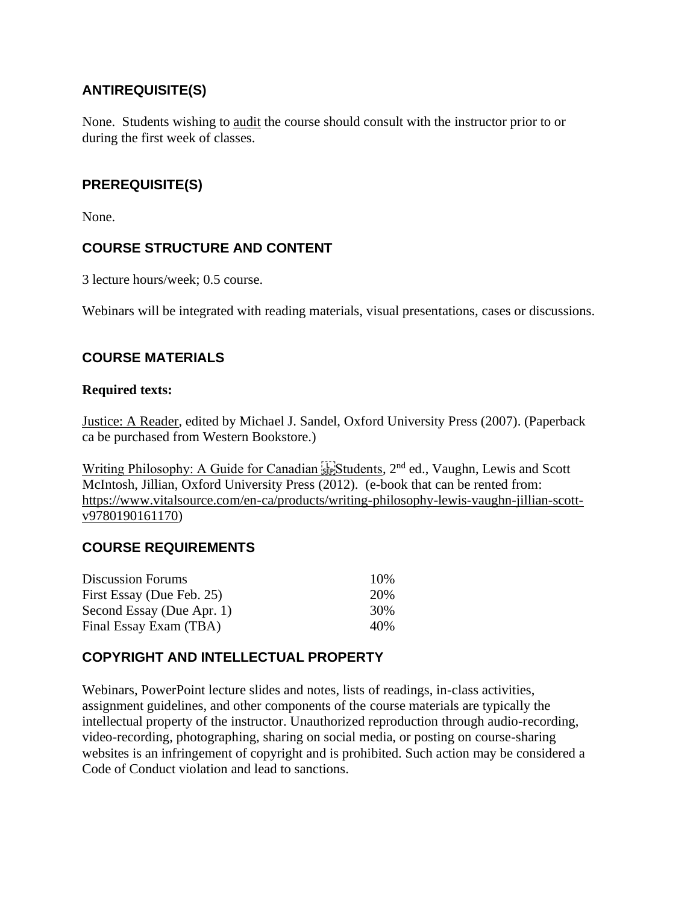# **ANTIREQUISITE(S)**

None. Students wishing to audit the course should consult with the instructor prior to or during the first week of classes.

# **PREREQUISITE(S)**

None.

# **COURSE STRUCTURE AND CONTENT**

3 lecture hours/week; 0.5 course.

Webinars will be integrated with reading materials, visual presentations, cases or discussions.

# **COURSE MATERIALS**

### **Required texts:**

Justice: A Reader, edited by Michael J. Sandel, Oxford University Press (2007). (Paperback ca be purchased from Western Bookstore.)

Writing Philosophy: A Guide for Canadian <sup>[17]</sup> Students, 2<sup>nd</sup> ed., Vaughn, Lewis and Scott McIntosh, Jillian, Oxford University Press (2012). (e-book that can be rented from: [https://www.vitalsource.com/en-ca/products/writing-philosophy-lewis-vaughn-jillian-scott](https://www.vitalsource.com/en-ca/products/writing-philosophy-lewis-vaughn-jillian-scott-v9780190161170)[v9780190161170\)](https://www.vitalsource.com/en-ca/products/writing-philosophy-lewis-vaughn-jillian-scott-v9780190161170)

# **COURSE REQUIREMENTS**

| <b>Discussion Forums</b>  | 10\% |
|---------------------------|------|
| First Essay (Due Feb. 25) | 20%  |
| Second Essay (Due Apr. 1) | 30%  |
| Final Essay Exam (TBA)    | 40%  |

# **COPYRIGHT AND INTELLECTUAL PROPERTY**

Webinars, PowerPoint lecture slides and notes, lists of readings, in-class activities, assignment guidelines, and other components of the course materials are typically the intellectual property of the instructor. Unauthorized reproduction through audio-recording, video-recording, photographing, sharing on social media, or posting on course-sharing websites is an infringement of copyright and is prohibited. Such action may be considered a Code of Conduct violation and lead to sanctions.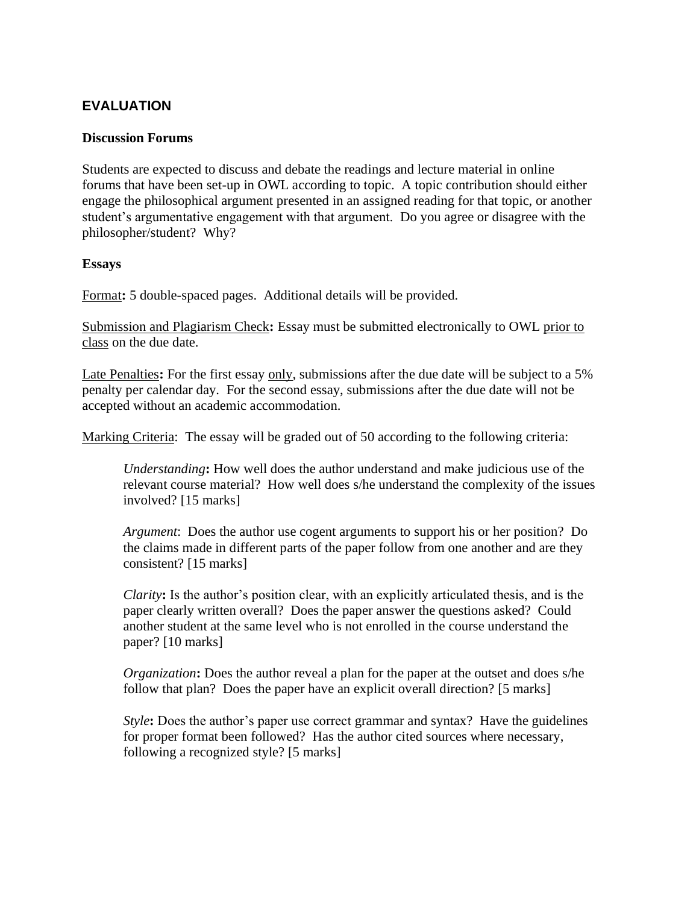# **EVALUATION**

### **Discussion Forums**

Students are expected to discuss and debate the readings and lecture material in online forums that have been set-up in OWL according to topic. A topic contribution should either engage the philosophical argument presented in an assigned reading for that topic, or another student's argumentative engagement with that argument. Do you agree or disagree with the philosopher/student? Why?

### **Essays**

Format**:** 5 double-spaced pages. Additional details will be provided.

Submission and Plagiarism Check**:** Essay must be submitted electronically to OWL prior to class on the due date.

Late Penalties**:** For the first essay only, submissions after the due date will be subject to a 5% penalty per calendar day. For the second essay, submissions after the due date will not be accepted without an academic accommodation.

Marking Criteria: The essay will be graded out of 50 according to the following criteria:

*Understanding***:** How well does the author understand and make judicious use of the relevant course material? How well does s/he understand the complexity of the issues involved? [15 marks]

*Argument*: Does the author use cogent arguments to support his or her position? Do the claims made in different parts of the paper follow from one another and are they consistent? [15 marks]

*Clarity***:** Is the author's position clear, with an explicitly articulated thesis, and is the paper clearly written overall? Does the paper answer the questions asked? Could another student at the same level who is not enrolled in the course understand the paper? [10 marks]

*Organization*: Does the author reveal a plan for the paper at the outset and does s/he follow that plan? Does the paper have an explicit overall direction? [5 marks]

*Style*: Does the author's paper use correct grammar and syntax? Have the guidelines for proper format been followed? Has the author cited sources where necessary, following a recognized style? [5 marks]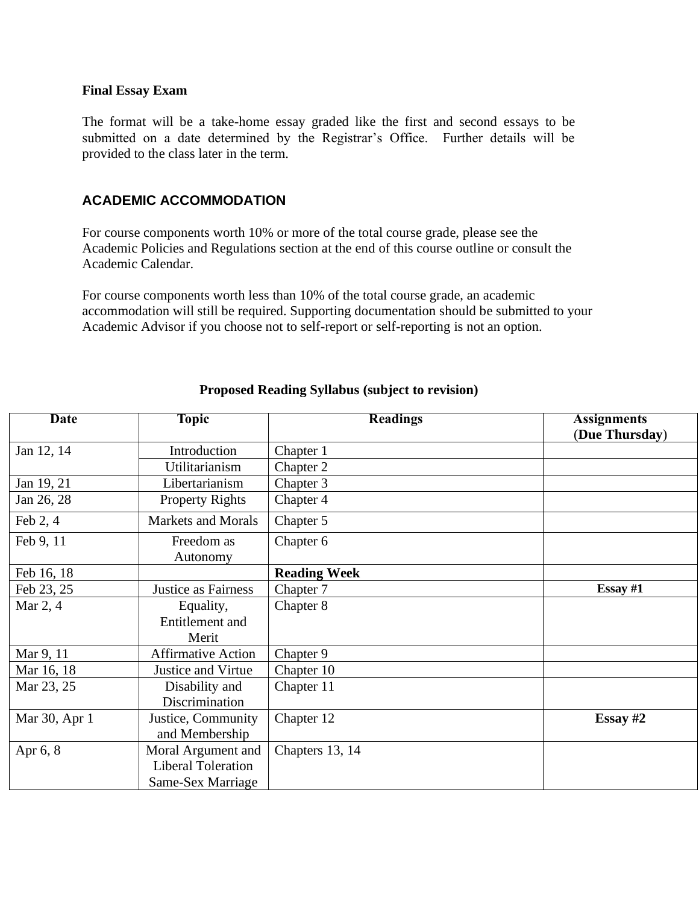#### **Final Essay Exam**

The format will be a take-home essay graded like the first and second essays to be submitted on a date determined by the Registrar's Office. Further details will be provided to the class later in the term.

### **ACADEMIC ACCOMMODATION**

For course components worth 10% or more of the total course grade, please see the Academic Policies and Regulations section at the end of this course outline or consult the Academic Calendar.

For course components worth less than 10% of the total course grade, an academic accommodation will still be required. Supporting documentation should be submitted to your Academic Advisor if you choose not to self-report or self-reporting is not an option.

| <b>Date</b>   | <b>Topic</b>              | <b>Readings</b>     | <b>Assignments</b> |
|---------------|---------------------------|---------------------|--------------------|
|               |                           |                     | (Due Thursday)     |
| Jan 12, 14    | Introduction              | Chapter 1           |                    |
|               | Utilitarianism            | Chapter 2           |                    |
| Jan 19, 21    | Libertarianism            | Chapter 3           |                    |
| Jan 26, 28    | <b>Property Rights</b>    | Chapter 4           |                    |
| Feb $2, 4$    | <b>Markets and Morals</b> | Chapter 5           |                    |
| Feb 9, 11     | Freedom as                | Chapter 6           |                    |
|               | Autonomy                  |                     |                    |
| Feb 16, 18    |                           | <b>Reading Week</b> |                    |
| Feb 23, 25    | Justice as Fairness       | Chapter 7           | Essay $#1$         |
| Mar 2, 4      | Equality,                 | Chapter 8           |                    |
|               | Entitlement and           |                     |                    |
|               | Merit                     |                     |                    |
| Mar 9, 11     | <b>Affirmative Action</b> | Chapter 9           |                    |
| Mar 16, 18    | Justice and Virtue        | Chapter 10          |                    |
| Mar 23, 25    | Disability and            | Chapter 11          |                    |
|               | Discrimination            |                     |                    |
| Mar 30, Apr 1 | Justice, Community        | Chapter 12          | Essay $#2$         |
|               | and Membership            |                     |                    |
| Apr 6, 8      | Moral Argument and        | Chapters 13, 14     |                    |
|               | <b>Liberal Toleration</b> |                     |                    |
|               | Same-Sex Marriage         |                     |                    |

## **Proposed Reading Syllabus (subject to revision)**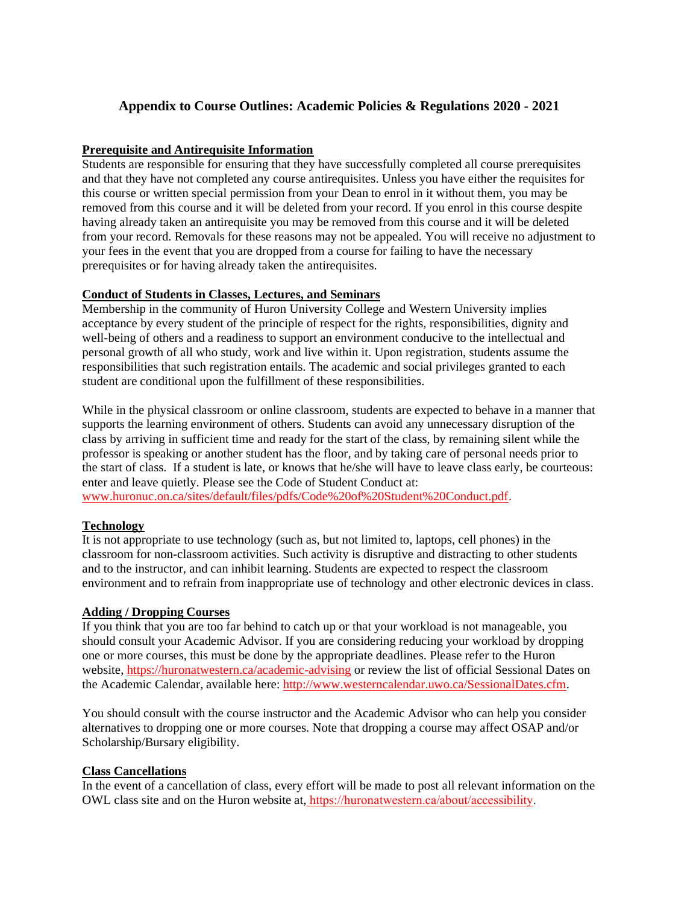## **Appendix to Course Outlines: Academic Policies & Regulations 2020 - 2021**

#### **Prerequisite and Antirequisite Information**

Students are responsible for ensuring that they have successfully completed all course prerequisites and that they have not completed any course antirequisites. Unless you have either the requisites for this course or written special permission from your Dean to enrol in it without them, you may be removed from this course and it will be deleted from your record. If you enrol in this course despite having already taken an antirequisite you may be removed from this course and it will be deleted from your record. Removals for these reasons may not be appealed. You will receive no adjustment to your fees in the event that you are dropped from a course for failing to have the necessary prerequisites or for having already taken the antirequisites.

#### **Conduct of Students in Classes, Lectures, and Seminars**

Membership in the community of Huron University College and Western University implies acceptance by every student of the principle of respect for the rights, responsibilities, dignity and well-being of others and a readiness to support an environment conducive to the intellectual and personal growth of all who study, work and live within it. Upon registration, students assume the responsibilities that such registration entails. The academic and social privileges granted to each student are conditional upon the fulfillment of these responsibilities.

While in the physical classroom or online classroom, students are expected to behave in a manner that supports the learning environment of others. Students can avoid any unnecessary disruption of the class by arriving in sufficient time and ready for the start of the class, by remaining silent while the professor is speaking or another student has the floor, and by taking care of personal needs prior to the start of class. If a student is late, or knows that he/she will have to leave class early, be courteous: enter and leave quietly. Please see the Code of Student Conduct at: [www.huronuc.on.ca/sites/default/files/pdfs/Code%20of%20Student%20Conduct.pdf.](http://www.huronuc.on.ca/sites/default/files/pdfs/Code%20of%20Student%20Conduct.pdf)

#### **Technology**

It is not appropriate to use technology (such as, but not limited to, laptops, cell phones) in the classroom for non-classroom activities. Such activity is disruptive and distracting to other students and to the instructor, and can inhibit learning. Students are expected to respect the classroom environment and to refrain from inappropriate use of technology and other electronic devices in class.

#### **Adding / Dropping Courses**

If you think that you are too far behind to catch up or that your workload is not manageable, you should consult your Academic Advisor. If you are considering reducing your workload by dropping one or more courses, this must be done by the appropriate deadlines. Please refer to the Huron website, <https://huronatwestern.ca/academic-advising> or review the list of official Sessional Dates on the Academic Calendar, available here: [http://www.westerncalendar.uwo.ca/SessionalDates.cfm.](http://www.westerncalendar.uwo.ca/SessionalDates.cfm)

You should consult with the course instructor and the Academic Advisor who can help you consider alternatives to dropping one or more courses. Note that dropping a course may affect OSAP and/or Scholarship/Bursary eligibility.

#### **Class Cancellations**

In the event of a cancellation of class, every effort will be made to post all relevant information on the OWL class site and on the Huron website at, https://huronatwestern.ca/about/accessibility.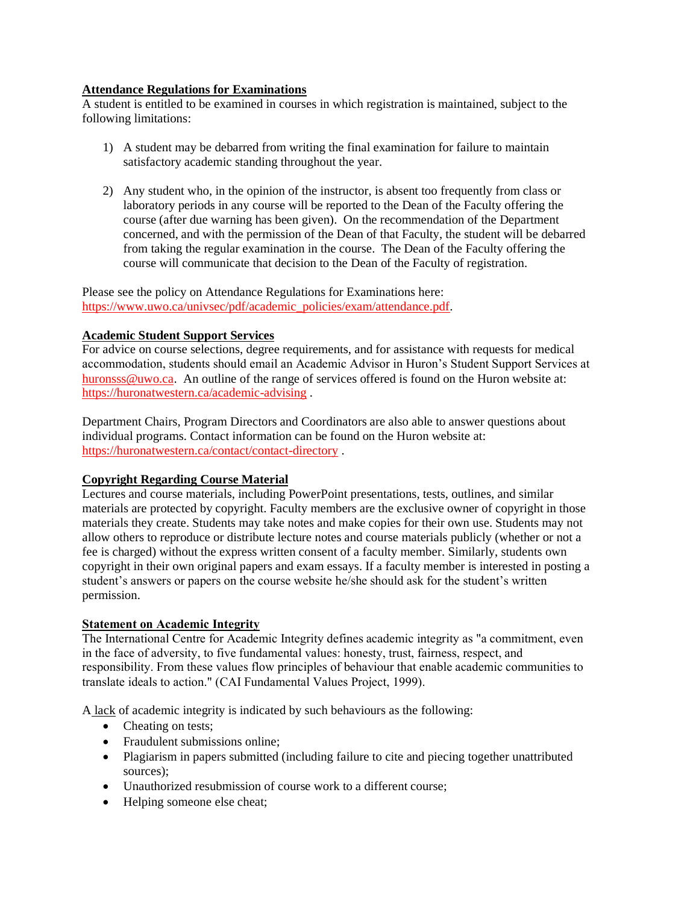#### **Attendance Regulations for Examinations**

A student is entitled to be examined in courses in which registration is maintained, subject to the following limitations:

- 1) A student may be debarred from writing the final examination for failure to maintain satisfactory academic standing throughout the year.
- 2) Any student who, in the opinion of the instructor, is absent too frequently from class or laboratory periods in any course will be reported to the Dean of the Faculty offering the course (after due warning has been given). On the recommendation of the Department concerned, and with the permission of the Dean of that Faculty, the student will be debarred from taking the regular examination in the course. The Dean of the Faculty offering the course will communicate that decision to the Dean of the Faculty of registration.

Please see the policy on Attendance Regulations for Examinations here: [https://www.uwo.ca/univsec/pdf/academic\\_policies/exam/attendance.pdf.](https://www.uwo.ca/univsec/pdf/academic_policies/exam/attendance.pdf)

#### **Academic Student Support Services**

For advice on course selections, degree requirements, and for assistance with requests for medical accommodation, students should email an Academic Advisor in Huron's Student Support Services at [huronsss@uwo.ca.](mailto:huronsss@uwo.ca) An outline of the range of services offered is found on the Huron website at: <https://huronatwestern.ca/academic-advising> .

Department Chairs, Program Directors and Coordinators are also able to answer questions about individual programs. Contact information can be found on the Huron website at: <https://huronatwestern.ca/contact/contact-directory> .

#### **Copyright Regarding Course Material**

Lectures and course materials, including PowerPoint presentations, tests, outlines, and similar materials are protected by copyright. Faculty members are the exclusive owner of copyright in those materials they create. Students may take notes and make copies for their own use. Students may not allow others to reproduce or distribute lecture notes and course materials publicly (whether or not a fee is charged) without the express written consent of a faculty member. Similarly, students own copyright in their own original papers and exam essays. If a faculty member is interested in posting a student's answers or papers on the course website he/she should ask for the student's written permission.

#### **Statement on Academic Integrity**

The International Centre for Academic Integrity defines academic integrity as "a commitment, even in the face of adversity, to five fundamental values: honesty, trust, fairness, respect, and responsibility. From these values flow principles of behaviour that enable academic communities to translate ideals to action." (CAI Fundamental Values Project, 1999).

A lack of academic integrity is indicated by such behaviours as the following:

- Cheating on tests;
- Fraudulent submissions online;
- Plagiarism in papers submitted (including failure to cite and piecing together unattributed sources);
- Unauthorized resubmission of course work to a different course;
- Helping someone else cheat;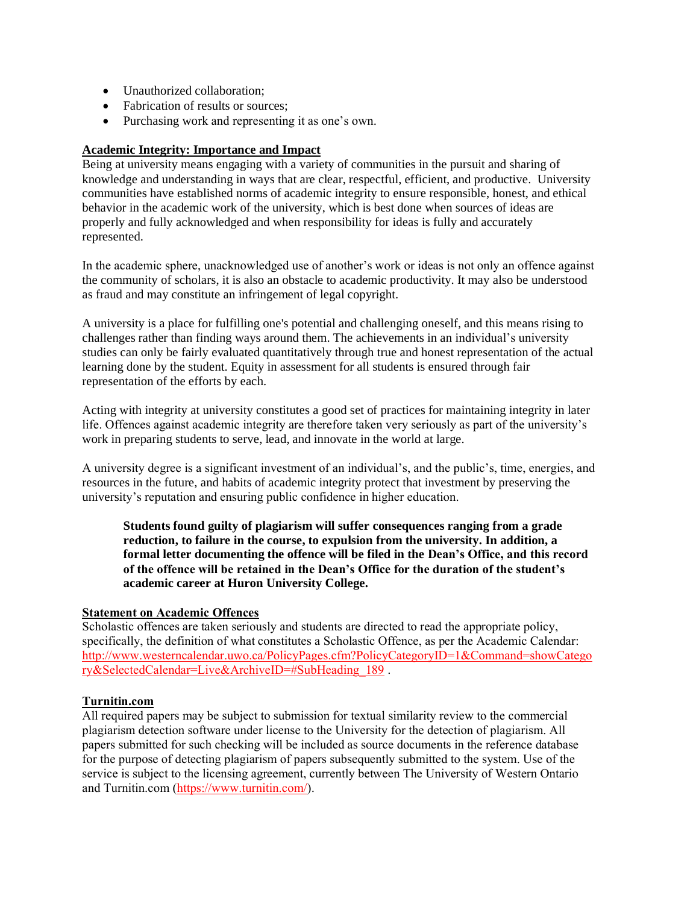- Unauthorized collaboration;
- Fabrication of results or sources;
- Purchasing work and representing it as one's own.

#### **Academic Integrity: Importance and Impact**

Being at university means engaging with a variety of communities in the pursuit and sharing of knowledge and understanding in ways that are clear, respectful, efficient, and productive. University communities have established norms of academic integrity to ensure responsible, honest, and ethical behavior in the academic work of the university, which is best done when sources of ideas are properly and fully acknowledged and when responsibility for ideas is fully and accurately represented.

In the academic sphere, unacknowledged use of another's work or ideas is not only an offence against the community of scholars, it is also an obstacle to academic productivity. It may also be understood as fraud and may constitute an infringement of legal copyright.

A university is a place for fulfilling one's potential and challenging oneself, and this means rising to challenges rather than finding ways around them. The achievements in an individual's university studies can only be fairly evaluated quantitatively through true and honest representation of the actual learning done by the student. Equity in assessment for all students is ensured through fair representation of the efforts by each.

Acting with integrity at university constitutes a good set of practices for maintaining integrity in later life. Offences against academic integrity are therefore taken very seriously as part of the university's work in preparing students to serve, lead, and innovate in the world at large.

A university degree is a significant investment of an individual's, and the public's, time, energies, and resources in the future, and habits of academic integrity protect that investment by preserving the university's reputation and ensuring public confidence in higher education.

**Students found guilty of plagiarism will suffer consequences ranging from a grade reduction, to failure in the course, to expulsion from the university. In addition, a formal letter documenting the offence will be filed in the Dean's Office, and this record of the offence will be retained in the Dean's Office for the duration of the student's academic career at Huron University College.**

#### **Statement on Academic Offences**

Scholastic offences are taken seriously and students are directed to read the appropriate policy, specifically, the definition of what constitutes a Scholastic Offence, as per the Academic Calendar: [http://www.westerncalendar.uwo.ca/PolicyPages.cfm?PolicyCategoryID=1&Command=showCatego](http://www.westerncalendar.uwo.ca/PolicyPages.cfm?PolicyCategoryID=1&Command=showCategory&SelectedCalendar=Live&ArchiveID=#SubHeading_189) [ry&SelectedCalendar=Live&ArchiveID=#SubHeading\\_189](http://www.westerncalendar.uwo.ca/PolicyPages.cfm?PolicyCategoryID=1&Command=showCategory&SelectedCalendar=Live&ArchiveID=#SubHeading_189) .

#### **Turnitin.com**

All required papers may be subject to submission for textual similarity review to the commercial plagiarism detection software under license to the University for the detection of plagiarism. All papers submitted for such checking will be included as source documents in the reference database for the purpose of detecting plagiarism of papers subsequently submitted to the system. Use of the service is subject to the licensing agreement, currently between The University of Western Ontario and Turnitin.com [\(https://www.turnitin.com/\)](https://www.turnitin.com/).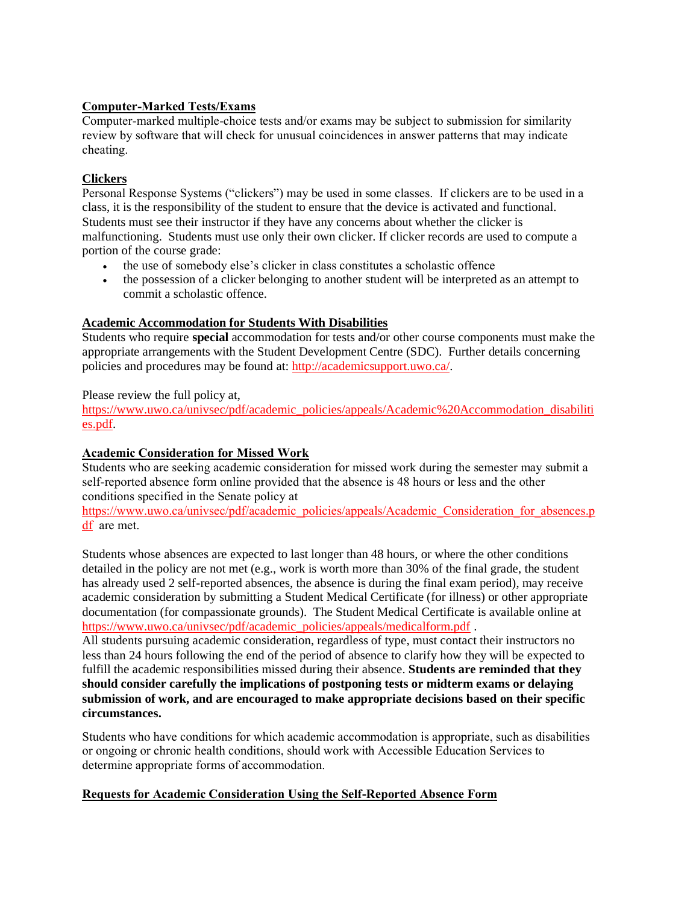### **Computer-Marked Tests/Exams**

Computer-marked multiple-choice tests and/or exams may be subject to submission for similarity review by software that will check for unusual coincidences in answer patterns that may indicate cheating.

#### **Clickers**

Personal Response Systems ("clickers") may be used in some classes. If clickers are to be used in a class, it is the responsibility of the student to ensure that the device is activated and functional. Students must see their instructor if they have any concerns about whether the clicker is malfunctioning. Students must use only their own clicker. If clicker records are used to compute a portion of the course grade:

- the use of somebody else's clicker in class constitutes a scholastic offence
- the possession of a clicker belonging to another student will be interpreted as an attempt to commit a scholastic offence.

#### **Academic Accommodation for Students With Disabilities**

Students who require **special** accommodation for tests and/or other course components must make the appropriate arrangements with the Student Development Centre (SDC). Further details concerning policies and procedures may be found at: [http://academicsupport.uwo.ca/.](http://academicsupport.uwo.ca/)

Please review the full policy at,

[https://www.uwo.ca/univsec/pdf/academic\\_policies/appeals/Academic%20Accommodation\\_disabiliti](https://www.uwo.ca/univsec/pdf/academic_policies/appeals/Academic%20Accommodation_disabilities.pdf) [es.pdf.](https://www.uwo.ca/univsec/pdf/academic_policies/appeals/Academic%20Accommodation_disabilities.pdf)

#### **Academic Consideration for Missed Work**

Students who are seeking academic consideration for missed work during the semester may submit a self-reported absence form online provided that the absence is 48 hours or less and the other conditions specified in the Senate policy at

[https://www.uwo.ca/univsec/pdf/academic\\_policies/appeals/Academic\\_Consideration\\_for\\_absences.p](https://www.uwo.ca/univsec/pdf/academic_policies/appeals/Academic_Consideration_for_absences.pdf) [df](https://www.uwo.ca/univsec/pdf/academic_policies/appeals/Academic_Consideration_for_absences.pdf) are met.

Students whose absences are expected to last longer than 48 hours, or where the other conditions detailed in the policy are not met (e.g., work is worth more than 30% of the final grade, the student has already used 2 self-reported absences, the absence is during the final exam period), may receive academic consideration by submitting a Student Medical Certificate (for illness) or other appropriate documentation (for compassionate grounds). The Student Medical Certificate is available online at [https://www.uwo.ca/univsec/pdf/academic\\_policies/appeals/medicalform.pdf](https://www.uwo.ca/univsec/pdf/academic_policies/appeals/medicalform.pdf) .

All students pursuing academic consideration, regardless of type, must contact their instructors no less than 24 hours following the end of the period of absence to clarify how they will be expected to fulfill the academic responsibilities missed during their absence. **Students are reminded that they should consider carefully the implications of postponing tests or midterm exams or delaying submission of work, and are encouraged to make appropriate decisions based on their specific circumstances.**

Students who have conditions for which academic accommodation is appropriate, such as disabilities or ongoing or chronic health conditions, should work with Accessible Education Services to determine appropriate forms of accommodation.

#### **Requests for Academic Consideration Using the Self-Reported Absence Form**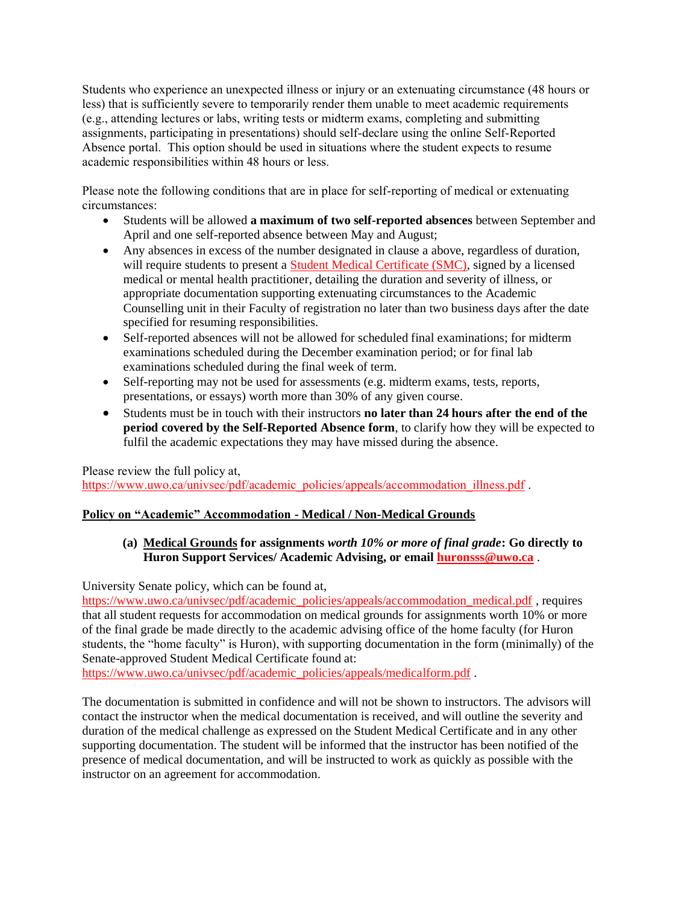Students who experience an unexpected illness or injury or an extenuating circumstance (48 hours or less) that is sufficiently severe to temporarily render them unable to meet academic requirements (e.g., attending lectures or labs, writing tests or midterm exams, completing and submitting assignments, participating in presentations) should self-declare using the online Self-Reported Absence portal. This option should be used in situations where the student expects to resume academic responsibilities within 48 hours or less.

Please note the following conditions that are in place for self-reporting of medical or extenuating circumstances:

- Students will be allowed **a maximum of two self-reported absences** between September and April and one self-reported absence between May and August;
- Any absences in excess of the number designated in clause a above, regardless of duration, will require students to present a [Student Medical Certificate \(SMC\),](https://www.uwo.ca/univsec/pdf/academic_policies/appeals/medicalform.pdf) signed by a licensed medical or mental health practitioner, detailing the duration and severity of illness, or appropriate documentation supporting extenuating circumstances to the Academic Counselling unit in their Faculty of registration no later than two business days after the date specified for resuming responsibilities.
- Self-reported absences will not be allowed for scheduled final examinations; for midterm examinations scheduled during the December examination period; or for final lab examinations scheduled during the final week of term.
- Self-reporting may not be used for assessments (e.g. midterm exams, tests, reports, presentations, or essays) worth more than 30% of any given course.
- Students must be in touch with their instructors **no later than 24 hours after the end of the period covered by the Self-Reported Absence form**, to clarify how they will be expected to fulfil the academic expectations they may have missed during the absence.

Please review the full policy at, [https://www.uwo.ca/univsec/pdf/academic\\_policies/appeals/accommodation\\_illness.pdf](https://www.uwo.ca/univsec/pdf/academic_policies/appeals/accommodation_illness.pdf) .

### **Policy on "Academic" Accommodation - Medical / Non-Medical Grounds**

### **(a) Medical Grounds for assignments** *worth 10% or more of final grade***: Go directly to Huron Support Services/ Academic Advising, or emai[l huronsss@uwo.ca](mailto:huronsss@uwo.ca)** .

University Senate policy, which can be found at,

[https://www.uwo.ca/univsec/pdf/academic\\_policies/appeals/accommodation\\_medical.pdf](https://www.uwo.ca/univsec/pdf/academic_policies/appeals/accommodation_medical.pdf) , requires that all student requests for accommodation on medical grounds for assignments worth 10% or more of the final grade be made directly to the academic advising office of the home faculty (for Huron students, the "home faculty" is Huron), with supporting documentation in the form (minimally) of the Senate-approved Student Medical Certificate found at:

[https://www.uwo.ca/univsec/pdf/academic\\_policies/appeals/medicalform.pdf](https://www.uwo.ca/univsec/pdf/academic_policies/appeals/medicalform.pdf).

The documentation is submitted in confidence and will not be shown to instructors. The advisors will contact the instructor when the medical documentation is received, and will outline the severity and duration of the medical challenge as expressed on the Student Medical Certificate and in any other supporting documentation. The student will be informed that the instructor has been notified of the presence of medical documentation, and will be instructed to work as quickly as possible with the instructor on an agreement for accommodation.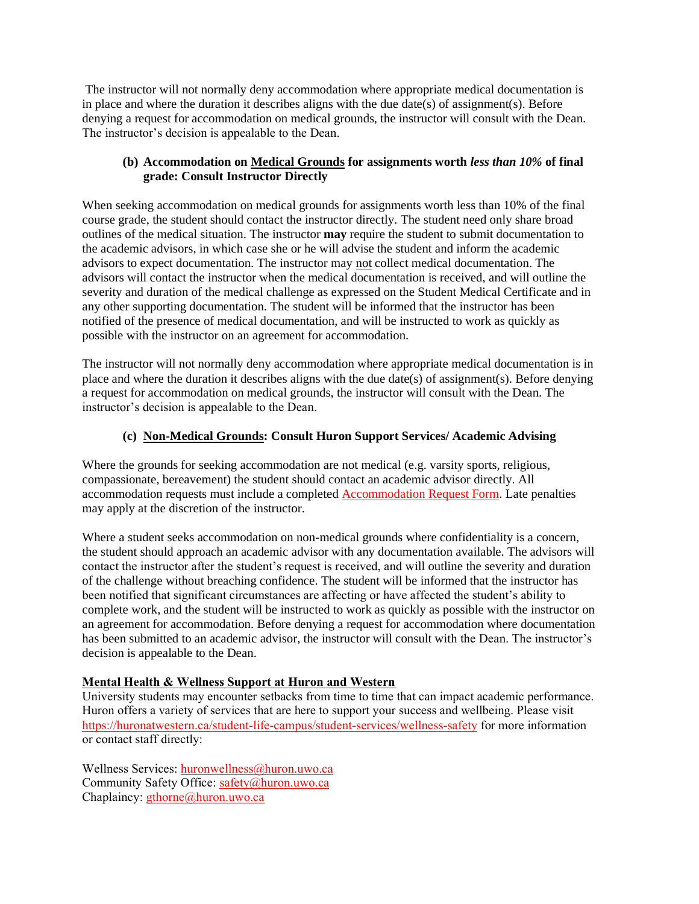The instructor will not normally deny accommodation where appropriate medical documentation is in place and where the duration it describes aligns with the due date(s) of assignment(s). Before denying a request for accommodation on medical grounds, the instructor will consult with the Dean. The instructor's decision is appealable to the Dean.

#### **(b) Accommodation on Medical Grounds for assignments worth** *less than 10%* **of final grade: Consult Instructor Directly**

When seeking accommodation on medical grounds for assignments worth less than 10% of the final course grade, the student should contact the instructor directly. The student need only share broad outlines of the medical situation. The instructor **may** require the student to submit documentation to the academic advisors, in which case she or he will advise the student and inform the academic advisors to expect documentation. The instructor may not collect medical documentation. The advisors will contact the instructor when the medical documentation is received, and will outline the severity and duration of the medical challenge as expressed on the Student Medical Certificate and in any other supporting documentation. The student will be informed that the instructor has been notified of the presence of medical documentation, and will be instructed to work as quickly as possible with the instructor on an agreement for accommodation.

The instructor will not normally deny accommodation where appropriate medical documentation is in place and where the duration it describes aligns with the due date(s) of assignment(s). Before denying a request for accommodation on medical grounds, the instructor will consult with the Dean. The instructor's decision is appealable to the Dean.

### **(c) Non-Medical Grounds: Consult Huron Support Services/ Academic Advising**

Where the grounds for seeking accommodation are not medical (e.g. varsity sports, religious, compassionate, bereavement) the student should contact an academic advisor directly. All accommodation requests must include a completed [Accommodation Request Form.](https://huronatwestern.ca/sites/default/files/pdfs/ACCOMMODATION_REQUEST.pdf) Late penalties may apply at the discretion of the instructor.

Where a student seeks accommodation on non-medical grounds where confidentiality is a concern, the student should approach an academic advisor with any documentation available. The advisors will contact the instructor after the student's request is received, and will outline the severity and duration of the challenge without breaching confidence. The student will be informed that the instructor has been notified that significant circumstances are affecting or have affected the student's ability to complete work, and the student will be instructed to work as quickly as possible with the instructor on an agreement for accommodation. Before denying a request for accommodation where documentation has been submitted to an academic advisor, the instructor will consult with the Dean. The instructor's decision is appealable to the Dean.

# **Mental Health & Wellness Support at Huron and Western**

University students may encounter setbacks from time to time that can impact academic performance. Huron offers a variety of services that are here to support your success and wellbeing. Please visit <https://huronatwestern.ca/student-life-campus/student-services/wellness-safety> for more information or contact staff directly:

Wellness Services: [huronwellness@huron.uwo.ca](mailto:huronwellness@huron.uwo.ca) Community Safety Office: [safety@huron.uwo.ca](mailto:safety@huron.uwo.ca) Chaplaincy: [gthorne@huron.uwo.ca](mailto:gthorne@huron.uwo.ca)